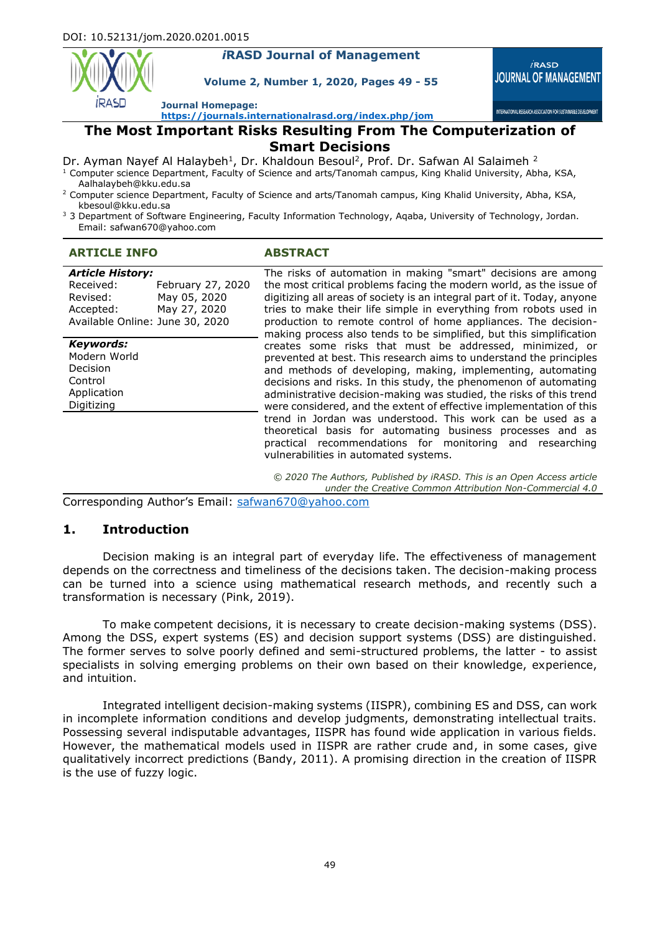

#### *i***RASD Journal of Management**

**Volume 2, Number 1, 2020, Pages 49 - 55**



INTERNATIONAL RESEARCH ASSOCIATION FOR SUSTAINABLE DEVELOPMEN

**Journal Homepage:**

**<https://journals.internationalrasd.org/index.php/jom>**

# **The Most Important Risks Resulting From The Computerization of**

# **Smart Decisions**

Dr. Ayman Nayef Al Halaybeh<sup>1</sup>, Dr. Khaldoun Besoul<sup>2</sup>, Prof. Dr. Safwan Al Salaimeh <sup>2</sup>

- $1$  Computer science Department, Faculty of Science and arts/Tanomah campus, King Khalid University, Abha, KSA, Aalhalaybeh@kku.edu.sa
- <sup>2</sup> Computer science Department, Faculty of Science and arts/Tanomah campus, King Khalid University, Abha, KSA, kbesoul@kku.edu.sa
- <sup>3</sup> 3 Department of Software Engineering, Faculty Information Technology, Agaba, University of Technology, Jordan. Email: safwan670@yahoo.com

| <b>ARTICLE INFO</b>                                                                                                              |                   | <b>ABSTRACT</b>                                                                                                                                                                                                                                                                                                                                                                                                                                                                                                                                                                                                                                                                                                                                                                                                                                                                                                                                                                                                                                                                    |
|----------------------------------------------------------------------------------------------------------------------------------|-------------------|------------------------------------------------------------------------------------------------------------------------------------------------------------------------------------------------------------------------------------------------------------------------------------------------------------------------------------------------------------------------------------------------------------------------------------------------------------------------------------------------------------------------------------------------------------------------------------------------------------------------------------------------------------------------------------------------------------------------------------------------------------------------------------------------------------------------------------------------------------------------------------------------------------------------------------------------------------------------------------------------------------------------------------------------------------------------------------|
| <b>Article History:</b><br>Received:<br>May 05, 2020<br>Revised:<br>May 27, 2020<br>Accepted:<br>Available Online: June 30, 2020 | February 27, 2020 | The risks of automation in making "smart" decisions are among<br>the most critical problems facing the modern world, as the issue of<br>digitizing all areas of society is an integral part of it. Today, anyone<br>tries to make their life simple in everything from robots used in<br>production to remote control of home appliances. The decision-<br>making process also tends to be simplified, but this simplification<br>creates some risks that must be addressed, minimized, or<br>prevented at best. This research aims to understand the principles<br>and methods of developing, making, implementing, automating<br>decisions and risks. In this study, the phenomenon of automating<br>administrative decision-making was studied, the risks of this trend<br>were considered, and the extent of effective implementation of this<br>trend in Jordan was understood. This work can be used as a<br>theoretical basis for automating business processes and as<br>practical recommendations for monitoring and researching<br>vulnerabilities in automated systems. |
| <b>Keywords:</b><br>Modern World<br>Decision<br>Control<br>Application<br>Digitizing                                             |                   |                                                                                                                                                                                                                                                                                                                                                                                                                                                                                                                                                                                                                                                                                                                                                                                                                                                                                                                                                                                                                                                                                    |
|                                                                                                                                  |                   | © 2020 The Authors, Published by iRASD. This is an Open Access article<br>under the Creative Common Attribution Non-Commercial 4.0                                                                                                                                                                                                                                                                                                                                                                                                                                                                                                                                                                                                                                                                                                                                                                                                                                                                                                                                                 |

Corresponding Author's Email: safwan670@yahoo.com

#### **1. Introduction**

Decision making is an integral part of everyday life. The effectiveness of management depends on the correctness and timeliness of the decisions taken. The decision-making process can be turned into a science using mathematical research methods, and recently such a transformation is necessary (Pink, 2019).

To make competent decisions, it is necessary to create decision-making systems (DSS). Among the DSS, expert systems (ES) and decision support systems (DSS) are distinguished. The former serves to solve poorly defined and semi-structured problems, the latter - to assist specialists in solving emerging problems on their own based on their knowledge, experience, and intuition.

Integrated intelligent decision-making systems (IISPR), combining ES and DSS, can work in incomplete information conditions and develop judgments, demonstrating intellectual traits. Possessing several indisputable advantages, IISPR has found wide application in various fields. However, the mathematical models used in IISPR are rather crude and, in some cases, give qualitatively incorrect predictions (Bandy, 2011). A promising direction in the creation of IISPR is the use of fuzzy logic.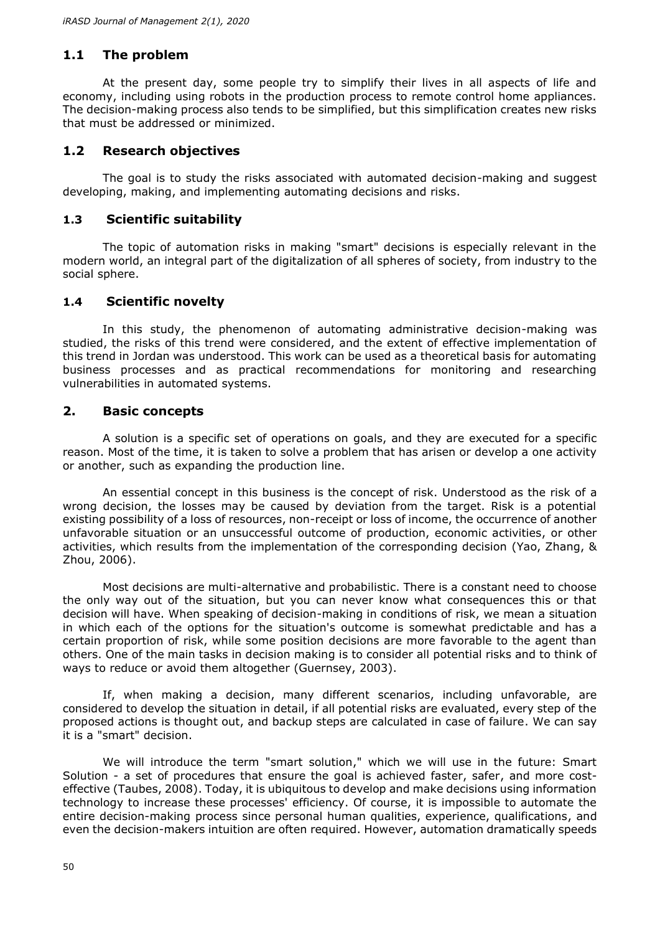# **1.1 The problem**

At the present day, some people try to simplify their lives in all aspects of life and economy, including using robots in the production process to remote control home appliances. The decision-making process also tends to be simplified, but this simplification creates new risks that must be addressed or minimized.

## **1.2 Research objectives**

The goal is to study the risks associated with automated decision-making and suggest developing, making, and implementing automating decisions and risks.

## **1.3 Scientific suitability**

The topic of automation risks in making "smart" decisions is especially relevant in the modern world, an integral part of the digitalization of all spheres of society, from industry to the social sphere.

# **1.4 Scientific novelty**

In this study, the phenomenon of automating administrative decision-making was studied, the risks of this trend were considered, and the extent of effective implementation of this trend in Jordan was understood. This work can be used as a theoretical basis for automating business processes and as practical recommendations for monitoring and researching vulnerabilities in automated systems.

## **2. Basic concepts**

A solution is a specific set of operations on goals, and they are executed for a specific reason. Most of the time, it is taken to solve a problem that has arisen or develop a one activity or another, such as expanding the production line.

An essential concept in this business is the concept of risk. Understood as the risk of a wrong decision, the losses may be caused by deviation from the target. Risk is a potential existing possibility of a loss of resources, non-receipt or loss of income, the occurrence of another unfavorable situation or an unsuccessful outcome of production, economic activities, or other activities, which results from the implementation of the corresponding decision (Yao, Zhang, & Zhou, 2006).

Most decisions are multi-alternative and probabilistic. There is a constant need to choose the only way out of the situation, but you can never know what consequences this or that decision will have. When speaking of decision-making in conditions of risk, we mean a situation in which each of the options for the situation's outcome is somewhat predictable and has a certain proportion of risk, while some position decisions are more favorable to the agent than others. One of the main tasks in decision making is to consider all potential risks and to think of ways to reduce or avoid them altogether (Guernsey, 2003).

If, when making a decision, many different scenarios, including unfavorable, are considered to develop the situation in detail, if all potential risks are evaluated, every step of the proposed actions is thought out, and backup steps are calculated in case of failure. We can say it is a "smart" decision.

We will introduce the term "smart solution," which we will use in the future: Smart Solution - a set of procedures that ensure the goal is achieved faster, safer, and more costeffective (Taubes, 2008). Today, it is ubiquitous to develop and make decisions using information technology to increase these processes' efficiency. Of course, it is impossible to automate the entire decision-making process since personal human qualities, experience, qualifications, and even the decision-makers intuition are often required. However, automation dramatically speeds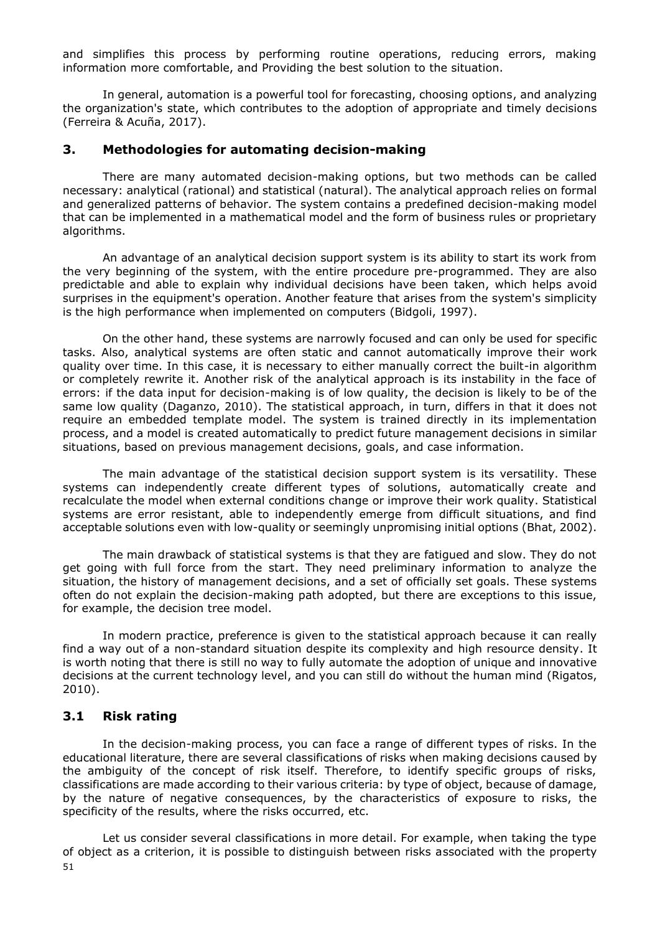and simplifies this process by performing routine operations, reducing errors, making information more comfortable, and Providing the best solution to the situation.

In general, automation is a powerful tool for forecasting, choosing options, and analyzing the organization's state, which contributes to the adoption of appropriate and timely decisions (Ferreira & Acuña, 2017).

#### **3. Methodologies for automating decision-making**

There are many automated decision-making options, but two methods can be called necessary: analytical (rational) and statistical (natural). The analytical approach relies on formal and generalized patterns of behavior. The system contains a predefined decision-making model that can be implemented in a mathematical model and the form of business rules or proprietary algorithms.

An advantage of an analytical decision support system is its ability to start its work from the very beginning of the system, with the entire procedure pre-programmed. They are also predictable and able to explain why individual decisions have been taken, which helps avoid surprises in the equipment's operation. Another feature that arises from the system's simplicity is the high performance when implemented on computers (Bidgoli, 1997).

On the other hand, these systems are narrowly focused and can only be used for specific tasks. Also, analytical systems are often static and cannot automatically improve their work quality over time. In this case, it is necessary to either manually correct the built-in algorithm or completely rewrite it. Another risk of the analytical approach is its instability in the face of errors: if the data input for decision-making is of low quality, the decision is likely to be of the same low quality (Daganzo, 2010). The statistical approach, in turn, differs in that it does not require an embedded template model. The system is trained directly in its implementation process, and a model is created automatically to predict future management decisions in similar situations, based on previous management decisions, goals, and case information.

The main advantage of the statistical decision support system is its versatility. These systems can independently create different types of solutions, automatically create and recalculate the model when external conditions change or improve their work quality. Statistical systems are error resistant, able to independently emerge from difficult situations, and find acceptable solutions even with low-quality or seemingly unpromising initial options (Bhat, 2002).

The main drawback of statistical systems is that they are fatigued and slow. They do not get going with full force from the start. They need preliminary information to analyze the situation, the history of management decisions, and a set of officially set goals. These systems often do not explain the decision-making path adopted, but there are exceptions to this issue, for example, the decision tree model.

In modern practice, preference is given to the statistical approach because it can really find a way out of a non-standard situation despite its complexity and high resource density. It is worth noting that there is still no way to fully automate the adoption of unique and innovative decisions at the current technology level, and you can still do without the human mind (Rigatos, 2010).

## **3.1 Risk rating**

In the decision-making process, you can face a range of different types of risks. In the educational literature, there are several classifications of risks when making decisions caused by the ambiguity of the concept of risk itself. Therefore, to identify specific groups of risks, classifications are made according to their various criteria: by type of object, because of damage, by the nature of negative consequences, by the characteristics of exposure to risks, the specificity of the results, where the risks occurred, etc.

51 Let us consider several classifications in more detail. For example, when taking the type of object as a criterion, it is possible to distinguish between risks associated with the property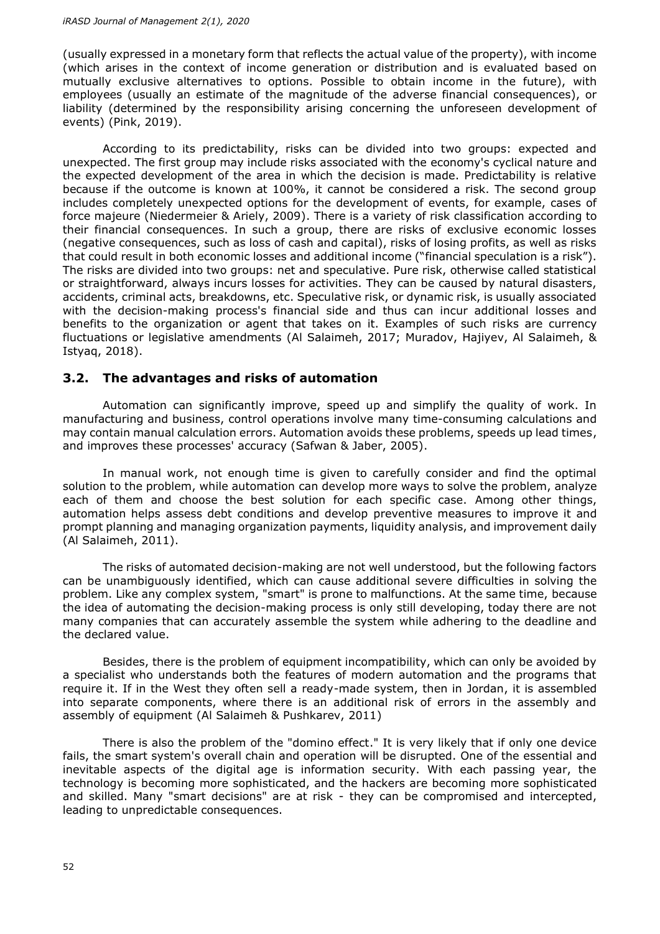(usually expressed in a monetary form that reflects the actual value of the property), with income (which arises in the context of income generation or distribution and is evaluated based on mutually exclusive alternatives to options. Possible to obtain income in the future), with employees (usually an estimate of the magnitude of the adverse financial consequences), or liability (determined by the responsibility arising concerning the unforeseen development of events) (Pink, 2019).

According to its predictability, risks can be divided into two groups: expected and unexpected. The first group may include risks associated with the economy's cyclical nature and the expected development of the area in which the decision is made. Predictability is relative because if the outcome is known at 100%, it cannot be considered a risk. The second group includes completely unexpected options for the development of events, for example, cases of force majeure (Niedermeier & Ariely, 2009). There is a variety of risk classification according to their financial consequences. In such a group, there are risks of exclusive economic losses (negative consequences, such as loss of cash and capital), risks of losing profits, as well as risks that could result in both economic losses and additional income ("financial speculation is a risk"). The risks are divided into two groups: net and speculative. Pure risk, otherwise called statistical or straightforward, always incurs losses for activities. They can be caused by natural disasters, accidents, criminal acts, breakdowns, etc. Speculative risk, or dynamic risk, is usually associated with the decision-making process's financial side and thus can incur additional losses and benefits to the organization or agent that takes on it. Examples of such risks are currency fluctuations or legislative amendments (Al Salaimeh, 2017; Muradov, Hajiyev, Al Salaimeh, & Istyaq, 2018).

#### **3.2. The advantages and risks of automation**

Automation can significantly improve, speed up and simplify the quality of work. In manufacturing and business, control operations involve many time-consuming calculations and may contain manual calculation errors. Automation avoids these problems, speeds up lead times, and improves these processes' accuracy (Safwan & Jaber, 2005).

In manual work, not enough time is given to carefully consider and find the optimal solution to the problem, while automation can develop more ways to solve the problem, analyze each of them and choose the best solution for each specific case. Among other things, automation helps assess debt conditions and develop preventive measures to improve it and prompt planning and managing organization payments, liquidity analysis, and improvement daily (Al Salaimeh, 2011).

The risks of automated decision-making are not well understood, but the following factors can be unambiguously identified, which can cause additional severe difficulties in solving the problem. Like any complex system, "smart" is prone to malfunctions. At the same time, because the idea of automating the decision-making process is only still developing, today there are not many companies that can accurately assemble the system while adhering to the deadline and the declared value.

Besides, there is the problem of equipment incompatibility, which can only be avoided by a specialist who understands both the features of modern automation and the programs that require it. If in the West they often sell a ready-made system, then in Jordan, it is assembled into separate components, where there is an additional risk of errors in the assembly and assembly of equipment (Al Salaimeh & Pushkarev, 2011)

There is also the problem of the "domino effect." It is very likely that if only one device fails, the smart system's overall chain and operation will be disrupted. One of the essential and inevitable aspects of the digital age is information security. With each passing year, the technology is becoming more sophisticated, and the hackers are becoming more sophisticated and skilled. Many "smart decisions" are at risk - they can be compromised and intercepted, leading to unpredictable consequences.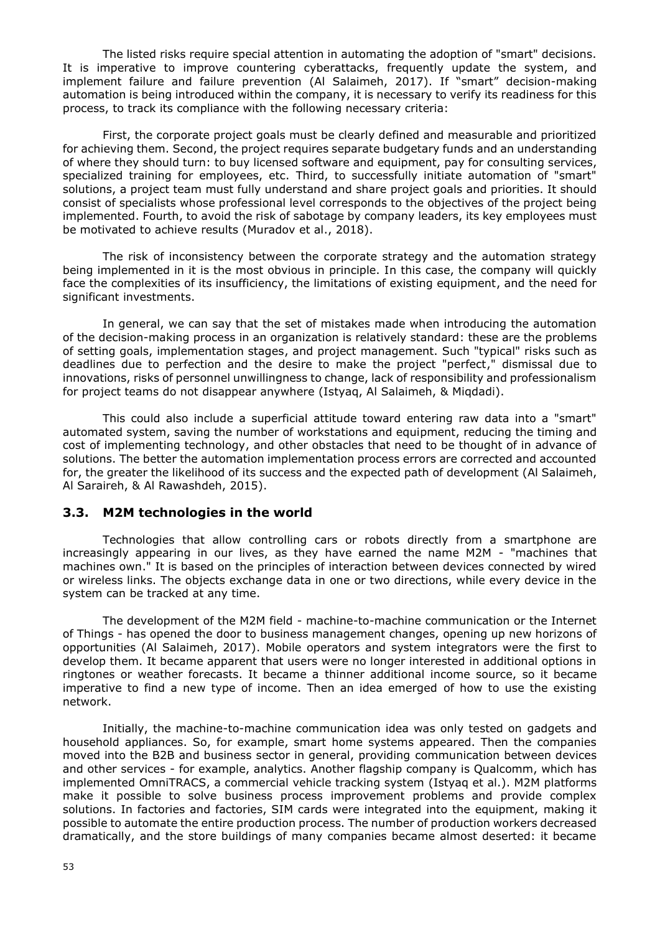The listed risks require special attention in automating the adoption of "smart" decisions. It is imperative to improve countering cyberattacks, frequently update the system, and implement failure and failure prevention (Al Salaimeh, 2017). If "smart" decision-making automation is being introduced within the company, it is necessary to verify its readiness for this process, to track its compliance with the following necessary criteria:

First, the corporate project goals must be clearly defined and measurable and prioritized for achieving them. Second, the project requires separate budgetary funds and an understanding of where they should turn: to buy licensed software and equipment, pay for consulting services, specialized training for employees, etc. Third, to successfully initiate automation of "smart" solutions, a project team must fully understand and share project goals and priorities. It should consist of specialists whose professional level corresponds to the objectives of the project being implemented. Fourth, to avoid the risk of sabotage by company leaders, its key employees must be motivated to achieve results (Muradov et al., 2018).

The risk of inconsistency between the corporate strategy and the automation strategy being implemented in it is the most obvious in principle. In this case, the company will quickly face the complexities of its insufficiency, the limitations of existing equipment, and the need for significant investments.

In general, we can say that the set of mistakes made when introducing the automation of the decision-making process in an organization is relatively standard: these are the problems of setting goals, implementation stages, and project management. Such "typical" risks such as deadlines due to perfection and the desire to make the project "perfect," dismissal due to innovations, risks of personnel unwillingness to change, lack of responsibility and professionalism for project teams do not disappear anywhere (Istyaq, Al Salaimeh, & Miqdadi).

This could also include a superficial attitude toward entering raw data into a "smart" automated system, saving the number of workstations and equipment, reducing the timing and cost of implementing technology, and other obstacles that need to be thought of in advance of solutions. The better the automation implementation process errors are corrected and accounted for, the greater the likelihood of its success and the expected path of development (Al Salaimeh, Al Saraireh, & Al Rawashdeh, 2015).

## **3.3. М2М technologies in the world**

Technologies that allow controlling cars or robots directly from a smartphone are increasingly appearing in our lives, as they have earned the name M2M - "machines that machines own." It is based on the principles of interaction between devices connected by wired or wireless links. The objects exchange data in one or two directions, while every device in the system can be tracked at any time.

The development of the M2M field - machine-to-machine communication or the Internet of Things - has opened the door to business management changes, opening up new horizons of opportunities (Al Salaimeh, 2017). Mobile operators and system integrators were the first to develop them. It became apparent that users were no longer interested in additional options in ringtones or weather forecasts. It became a thinner additional income source, so it became imperative to find a new type of income. Then an idea emerged of how to use the existing network.

Initially, the machine-to-machine communication idea was only tested on gadgets and household appliances. So, for example, smart home systems appeared. Then the companies moved into the B2B and business sector in general, providing communication between devices and other services - for example, analytics. Another flagship company is Qualcomm, which has implemented OmniTRACS, a commercial vehicle tracking system (Istyaq et al.). M2M platforms make it possible to solve business process improvement problems and provide complex solutions. In factories and factories, SIM cards were integrated into the equipment, making it possible to automate the entire production process. The number of production workers decreased dramatically, and the store buildings of many companies became almost deserted: it became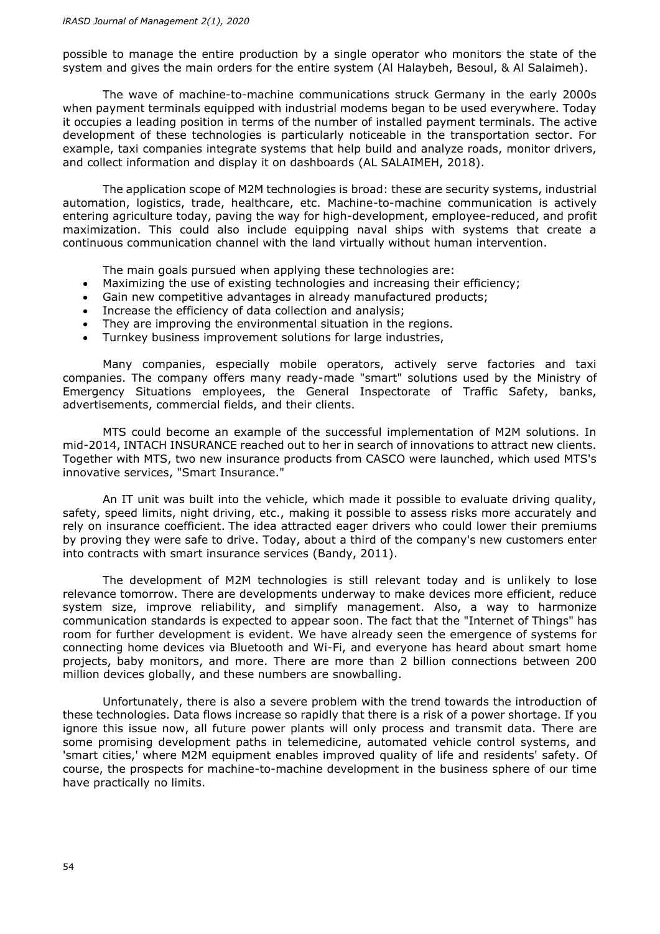possible to manage the entire production by a single operator who monitors the state of the system and gives the main orders for the entire system (Al Halaybeh, Besoul, & Al Salaimeh).

The wave of machine-to-machine communications struck Germany in the early 2000s when payment terminals equipped with industrial modems began to be used everywhere. Today it occupies a leading position in terms of the number of installed payment terminals. The active development of these technologies is particularly noticeable in the transportation sector. For example, taxi companies integrate systems that help build and analyze roads, monitor drivers, and collect information and display it on dashboards (AL SALAIMEH, 2018).

The application scope of M2M technologies is broad: these are security systems, industrial automation, logistics, trade, healthcare, etc. Machine-to-machine communication is actively entering agriculture today, paving the way for high-development, employee-reduced, and profit maximization. This could also include equipping naval ships with systems that create a continuous communication channel with the land virtually without human intervention.

The main goals pursued when applying these technologies are:

- Maximizing the use of existing technologies and increasing their efficiency;
- Gain new competitive advantages in already manufactured products;
- Increase the efficiency of data collection and analysis;
- They are improving the environmental situation in the regions.
- Turnkey business improvement solutions for large industries,

Many companies, especially mobile operators, actively serve factories and taxi companies. The company offers many ready-made "smart" solutions used by the Ministry of Emergency Situations employees, the General Inspectorate of Traffic Safety, banks, advertisements, commercial fields, and their clients.

MTS could become an example of the successful implementation of M2M solutions. In mid-2014, INTACH INSURANCE reached out to her in search of innovations to attract new clients. Together with MTS, two new insurance products from CASCO were launched, which used MTS's innovative services, "Smart Insurance."

An IT unit was built into the vehicle, which made it possible to evaluate driving quality, safety, speed limits, night driving, etc., making it possible to assess risks more accurately and rely on insurance coefficient. The idea attracted eager drivers who could lower their premiums by proving they were safe to drive. Today, about a third of the company's new customers enter into contracts with smart insurance services (Bandy, 2011).

The development of M2M technologies is still relevant today and is unlikely to lose relevance tomorrow. There are developments underway to make devices more efficient, reduce system size, improve reliability, and simplify management. Also, a way to harmonize communication standards is expected to appear soon. The fact that the "Internet of Things" has room for further development is evident. We have already seen the emergence of systems for connecting home devices via Bluetooth and Wi-Fi, and everyone has heard about smart home projects, baby monitors, and more. There are more than 2 billion connections between 200 million devices globally, and these numbers are snowballing.

Unfortunately, there is also a severe problem with the trend towards the introduction of these technologies. Data flows increase so rapidly that there is a risk of a power shortage. If you ignore this issue now, all future power plants will only process and transmit data. There are some promising development paths in telemedicine, automated vehicle control systems, and 'smart cities,' where M2M equipment enables improved quality of life and residents' safety. Of course, the prospects for machine-to-machine development in the business sphere of our time have practically no limits.